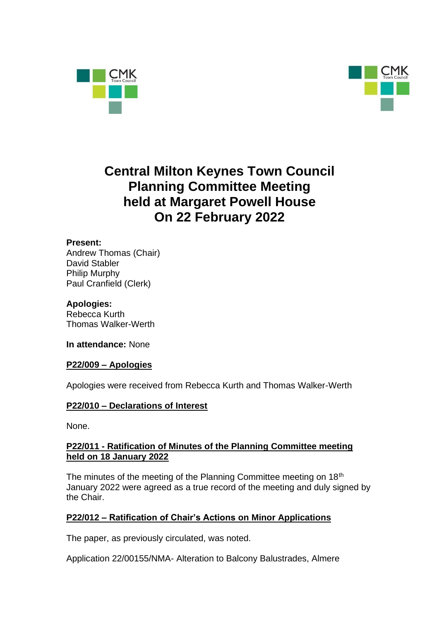



# **Central Milton Keynes Town Council Planning Committee Meeting held at Margaret Powell House On 22 February 2022**

## **Present:**

Andrew Thomas (Chair) David Stabler Philip Murphy Paul Cranfield (Clerk)

## **Apologies:**

Rebecca Kurth Thomas Walker-Werth

**In attendance:** None

#### **P22/009 – Apologies**

Apologies were received from Rebecca Kurth and Thomas Walker-Werth

# **P22/010 – Declarations of Interest**

None.

## **P22/011 - Ratification of Minutes of the Planning Committee meeting held on 18 January 2022**

The minutes of the meeting of the Planning Committee meeting on 18<sup>th</sup> January 2022 were agreed as a true record of the meeting and duly signed by the Chair.

# **P22/012 – Ratification of Chair's Actions on Minor Applications**

The paper, as previously circulated, was noted.

Application 22/00155/NMA- Alteration to Balcony Balustrades, Almere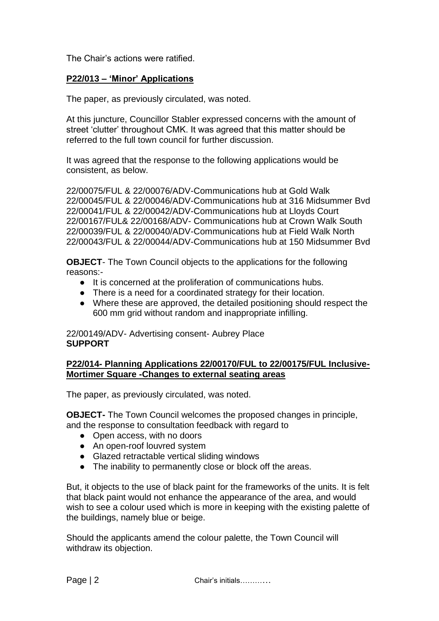The Chair's actions were ratified.

#### **P22/013 – 'Minor' Applications**

The paper, as previously circulated, was noted.

At this juncture, Councillor Stabler expressed concerns with the amount of street 'clutter' throughout CMK. It was agreed that this matter should be referred to the full town council for further discussion.

It was agreed that the response to the following applications would be consistent, as below.

22/00075/FUL & 22/00076/ADV-Communications hub at Gold Walk 22/00045/FUL & 22/00046/ADV-Communications hub at 316 Midsummer Bvd 22/00041/FUL & 22/00042/ADV-Communications hub at Lloyds Court 22/00167/FUL& 22/00168/ADV- Communications hub at Crown Walk South 22/00039/FUL & 22/00040/ADV-Communications hub at Field Walk North 22/00043/FUL & 22/00044/ADV-Communications hub at 150 Midsummer Bvd

**OBJECT**- The Town Council objects to the applications for the following reasons:-

- It is concerned at the proliferation of communications hubs.
- There is a need for a coordinated strategy for their location.
- Where these are approved, the detailed positioning should respect the 600 mm grid without random and inappropriate infilling.

22/00149/ADV- Advertising consent- Aubrey Place **SUPPORT**

#### **P22/014- Planning Applications 22/00170/FUL to 22/00175/FUL Inclusive-Mortimer Square -Changes to external seating areas**

The paper, as previously circulated, was noted.

**OBJECT-** The Town Council welcomes the proposed changes in principle, and the response to consultation feedback with regard to

- Open access, with no doors
- An open-roof louvred system
- Glazed retractable vertical sliding windows
- The inability to permanently close or block off the areas.

But, it objects to the use of black paint for the frameworks of the units. It is felt that black paint would not enhance the appearance of the area, and would wish to see a colour used which is more in keeping with the existing palette of the buildings, namely blue or beige.

Should the applicants amend the colour palette, the Town Council will withdraw its objection.